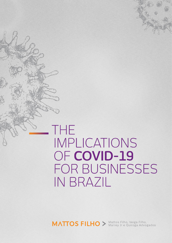# THE IMPLICATIONS OF COVID-19 FOR BUSINESSES **IN BRAZIL**

MATTOS FILHO > Mattos Filho, Veiga Filho,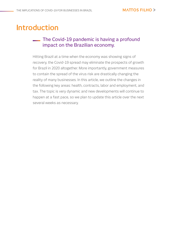### **Introduction**

### **The Covid-19 pandemic is having a profound** impact on the Brazilian economy.

Hitting Brazil at a time when the economy was showing signs of recovery, the Covid-19 spread may eliminate the prospects of growth for Brazil in 2020 altogether. More importantly, government measures to contain the spread of the virus risk are drastically changing the reality of many businesses. In this article, we outline the changes in the following key areas: health, contracts, labor and employment, and tax. The topic is very dynamic and new developments will continue to happen at a fast pace, so we plan to update this article over the next several weeks as necessary.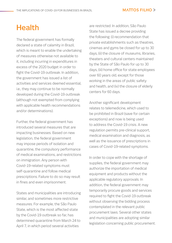### **Health**

The federal government has formally declared a state of calamity in Brazil, which is meant to enable the undertaking of measures otherwise not available to it, including incurring in expenditures in excess of the 2020 budget in order to fight the Covid-19 outbreak. In addition, the government has issued a list of activities and services deemed essential, i.e., they may continue to be normally developed during the Covid-19 outbreak (although not exempted from complying with applicable health recommendations and/or determinations).

Further, the federal government has introduced several measures that are impacting businesses. Based on new legislation, the federal government may impose periods of isolation and quarantine, the compulsory performance of medical examinations, and restrictions on immigration. Any person with Covid-19-related symptoms must self-quarantine and follow medical prescriptions. Failure to do so may result in fines and even imprisonment.

States and municipalities are introducing similar, and sometimes more restrictive measures. For example, the São Paulo State, which is the most affected state by the Covid-19 outbreak so far, has determined quarantine from March 24 to April 7, in which period several activities

are restricted. In addition, São Paulo State has issued a decree providing the following: (i) recommendation that private establishments such as theatres, cinemas and gyms be closed for up to 30 days, (ii) the closure of museums, libraries, theaters and cultural centers maintained by the State of São Paulo for up to 30 days, (iii) home office for state employees over 60 years old, except for those working in the areas of public safety and health, and (iv) the closure of elderly centers for 60 days.

Another significant development relates to telemedicine, which used to be prohibited in Brazil (save for certain exceptions) and now is being used to address the Covid-19 crisis. A new regulation permits pre-clinical support, medical examination and diagnosis, as well as the issuance of prescriptions in cases of Covid-19-related symptoms.

In order to cope with the shortage of supplies, the federal government may authorize the importation of medical equipment and products without the applicable regulatory approvals. In addition, the federal government may temporarily procure goods and services required to fight the Covid-19 outbreak without observing the bidding process contemplated in the relevant public procurement laws. Several other states and municipalities are adopting similar legislation concerning public procurement.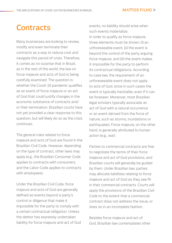### **Contracts**

Many businesses are looking to review, modify and even terminate their contracts as a way to reduce cost and navigate this period of crisis. Therefore, it comes as no surprise that in Brazil, as in the rest of the world, the law on force majeure and acts of God is being carefully examined. The question is whether the Covid-19 pandemic qualifies as an event of force majeure or an act of God that could justify changes in the economic substance of contracts and/ or their termination. Brazilian courts have not yet provided a clear response to this question, but will likely do so as the crisis continues.

The general rules related to force majeure and acts of God are found in the Brazilian Civil Code. However, depending on the type of contract, other laws may apply (e.g., the Brazilian Consumer Code applies to contracts with consumers, and the Labor Code applies to contracts with employees).

Under the Brazilian Civil Code, force majeure and acts of God are generally defined as events beyond a party's control or diligence that make it impossible for the party to comply with a certain contractual obligation. Unless the debtor has expressly undertaken liability for force majeure and act of God

events, no liability should arise when such events materialize. In order to qualify as force majeure, three elements must be shown: (i) an unforeseeable event, (ii) the event is beyond the control of the party arguing force majeure, and (iii) the event makes it impossible for the party to perform its contractual obligations. According to case law, the requirement of an unforeseeable event does not apply to acts of God, since in such cases the event is typically inevitable, even if it can be foreseen. Moreover, most Brazilian legal scholars typically associate an act of God with a natural occurrence or an event derived from the force of nature, such as storms, inundations or earthquakes. Force majeure, on the other hand, is generally attributed to human action (e.g., war).

Parties to commercial contracts are free to negotiate the terms of their force majeure and act of God provisions, and Brazilian courts will generally be guided by them. Under Brazilian law, parties may allocate liabilities relating to force majeure and act of God as they see fit in their commercial contracts. Courts will apply the provisions of the Brazilian Civil Code to the extent that a commercial contract does not address the issue, or does so in an incomplete fashion.

Besides force majeure and act of God, Brazilian law contemplates other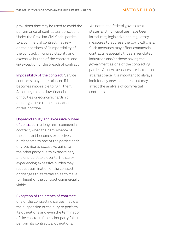provisions that may be used to avoid the performance of contractual obligations. Under the Brazilian Civil Code, parties to a commercial contract may rely on the doctrines of (i) impossibility of the contract, (ii) unpredictability and excessive burden of the contract, and (iii) exception of the breach of contract.

Impossibility of the contract: Service contracts may be terminated if it becomes impossible to fulfill them. According to case law, financial difficulties or economic hardship do not give rise to the application of this doctrine.

#### Unpredictability and excessive burden

of contract: In a long term commercial contract, when the performance of the contract becomes excessively burdensome to one of the parties and/ or gives rise to excessive gains to the other party due to extraordinary and unpredictable events, the party experiencing excessive burden may request termination of the contract or changes to its terms so as to make fulfillment of the contract commercially viable.

#### Exception of the breach of contract:

one of the contracting parties may claim the suspension of the duty to perform its obligations and even the termination of the contract if the other party fails to perform its contractual obligations.

 As noted, the federal government, states and municipalities have been introducing legislative and regulatory measures to address the Covid-19 crisis. Such measures may affect commercial contracts, especially those in regulated industries and/or those having the government as one of the contracting parties. As new measures are introduced at a fast pace, it is important to always look for any new measures that may affect the analysis of commercial contracts.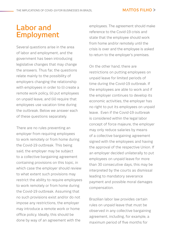#### **MATTOS FILHO >**

### **Labor and Employment**

Several questions arise in the area of labor and employment, and the government has been introducing legislative changes that may change the answers. Thus far, the questions relate mainly to the possibility of employers changing the relationship with employees in order to (i) create a remote work policy, (ii) put employees on unpaid leave, and (iii) require that employees use vacation time during the outbreak. Below we answer each of these questions separately.

There are no rules preventing an employer from requiring employees to work remotely or from home during the Covid-19 outbreak. This being said, the employer may be subject to a collective bargaining agreement containing provisions on this topic, in which case the employer should review to what extent such provisions may restrict the ability to require employees to work remotely or from home during the Covid-19 outbreak. Assuming that no such provisions exist and/or do not impose any restrictions, the employer may introduce a remote work or home office policy. Ideally, this should be done by way of an agreement with the

employees. The agreement should make reference to the Covid-19 crisis and state that the employee should work from home and/or remotely until the crisis is over and the employee is asked to return to the employer's premises.

On the other hand, there are restrictions on putting employees on unpaid leave for limited periods of time during the Covid-19 outbreak. If the employees are able to work and if the employer continues to develop its economic activities, the employer has no right to put its employees on unpaid leave. Even if the Covid-19 outbreak is considered within the legal labor concept of force majeure, the employer may only reduce salaries by means of a collective bargaining agreement signed with the employees and having the approval of the respective Union. If an employer decided unilaterally to put employees on unpaid leave for more than 30 consecutive days, this may be interpreted by the courts as dismissal leading to mandatory severance payment and possible moral damages compensation.

Brazilian labor law provides certain rules on unpaid leave that must be observed in any collective bargaining agreement, including, for example, a maximum period of five months for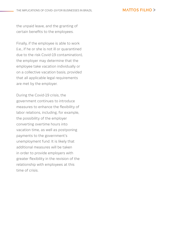#### **MATTOS FILHO >**

the unpaid leave, and the granting of certain benefits to the employees.

Finally, if the employee is able to work (i.e., if he or she is not ill or quarantined due to the risk Covid-19 contamination), the employer may determine that the employee take vacation individually or on a collective vacation basis, provided that all applicable legal requirements are met by the employer.

During the Covid-19 crisis, the government continues to introduce measures to enhance the flexibility of labor relations, including, for example, the possibility of the employer converting overtime hours into vacation time, as well as postponing payments to the government's unemployment fund. It is likely that additional measures will be taken in order to provide employers with greater flexibility in the revision of the relationship with employees at this time of crisis.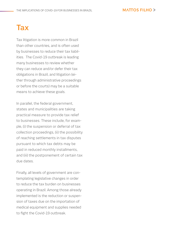#### **MATTOS FILHO >**

## **Tax**

Tax litigation is more common in Brazil than other countries, and is often used by businesses to reduce their tax liabilities. The Covid-19 outbreak is leading many businesses to review whether they can reduce and/or defer their tax obligations in Brazil, and litigation (either through administrative proceedings or before the courts) may be a suitable means to achieve these goals.

In parallel, the federal government, states and municipalities are taking practical measure to provide tax relief to businesses. These include, for example, (i) the suspension or deferral of tax collection proceedings, (ii) the possibility of reaching settlements in tax disputes pursuant to which tax debts may be paid in reduced monthly installments, and (iii) the postponement of certain tax due dates.

Finally, all levels of government are contemplating legislative changes in order to reduce the tax burden on businesses operating in Brazil. Among those already implemented is the reduction or suspension of taxes due on the importation of medical equipment and supplies needed to fight the Covid-19 outbreak.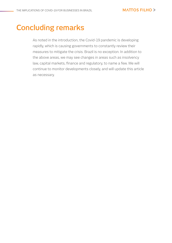### **Concluding remarks**

As noted in the introduction, the Covid-19 pandemic is developing rapidly, which is causing governments to constantly review their measures to mitigate the crisis. Brazil is no exception. In addition to the above areas, we may see changes in areas such as insolvency law, capital markets, finance and regulatory, to name a few. We will continue to monitor developments closely, and will update this article as necessary.